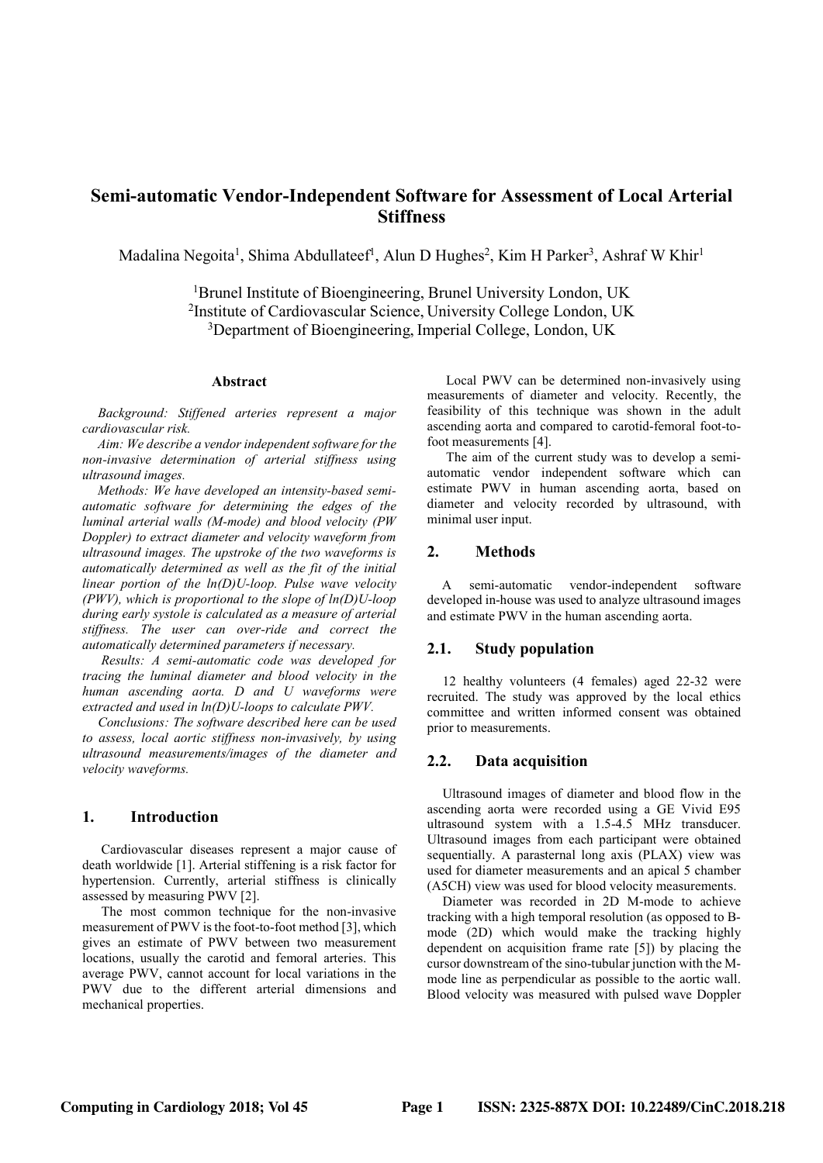# Semi-automatic Vendor-Independent Software for Assessment of Local Arterial **Stiffness**

Madalina Negoita<sup>1</sup>, Shima Abdullateef<sup>1</sup>, Alun D Hughes<sup>2</sup>, Kim H Parker<sup>3</sup>, Ashraf W Khir<sup>1</sup>

<sup>1</sup>Brunel Institute of Bioengineering, Brunel University London, UK <sup>2</sup>Institute of Cardiovascular Science, University College London, UK <sup>3</sup>Department of Bioengineering, Imperial College, London, UK

### Abstract

Background: Stiffened arteries represent a major cardiovascular risk.

Aim: We describe a vendor independent software for the non-invasive determination of arterial stiffness using ultrasound images.

Methods: We have developed an intensity-based semiautomatic software for determining the edges of the luminal arterial walls (M-mode) and blood velocity (PW Doppler) to extract diameter and velocity waveform from ultrasound images. The upstroke of the two waveforms is automatically determined as well as the fit of the initial linear portion of the ln(D)U-loop. Pulse wave velocity (PWV), which is proportional to the slope of  $ln(D)U$ -loop during early systole is calculated as a measure of arterial stiffness. The user can over-ride and correct the automatically determined parameters if necessary.

Results: A semi-automatic code was developed for tracing the luminal diameter and blood velocity in the human ascending aorta. D and U waveforms were extracted and used in ln(D)U-loops to calculate PWV.

Conclusions: The software described here can be used to assess, local aortic stiffness non-invasively, by using ultrasound measurements/images of the diameter and velocity waveforms.

### 1. Introduction

Cardiovascular diseases represent a major cause of death worldwide [1]. Arterial stiffening is a risk factor for hypertension. Currently, arterial stiffness is clinically assessed by measuring PWV [2].

The most common technique for the non-invasive measurement of PWV is the foot-to-foot method [3], which gives an estimate of PWV between two measurement locations, usually the carotid and femoral arteries. This average PWV, cannot account for local variations in the PWV due to the different arterial dimensions and mechanical properties.

Local PWV can be determined non-invasively using measurements of diameter and velocity. Recently, the feasibility of this technique was shown in the adult ascending aorta and compared to carotid-femoral foot-tofoot measurements [4].

The aim of the current study was to develop a semiautomatic vendor independent software which can estimate PWV in human ascending aorta, based on diameter and velocity recorded by ultrasound, with minimal user input.

## 2. Methods

A semi-automatic vendor-independent software developed in-house was used to analyze ultrasound images and estimate PWV in the human ascending aorta.

## 2.1. Study population

12 healthy volunteers (4 females) aged 22-32 were recruited. The study was approved by the local ethics committee and written informed consent was obtained prior to measurements.

### 2.2. Data acquisition

Ultrasound images of diameter and blood flow in the ascending aorta were recorded using a GE Vivid E95 ultrasound system with a 1.5-4.5 MHz transducer. Ultrasound images from each participant were obtained sequentially. A parasternal long axis (PLAX) view was used for diameter measurements and an apical 5 chamber (A5CH) view was used for blood velocity measurements.

Diameter was recorded in 2D M-mode to achieve tracking with a high temporal resolution (as opposed to Bmode (2D) which would make the tracking highly dependent on acquisition frame rate [5]) by placing the cursor downstream of the sino-tubular junction with the Mmode line as perpendicular as possible to the aortic wall. Blood velocity was measured with pulsed wave Doppler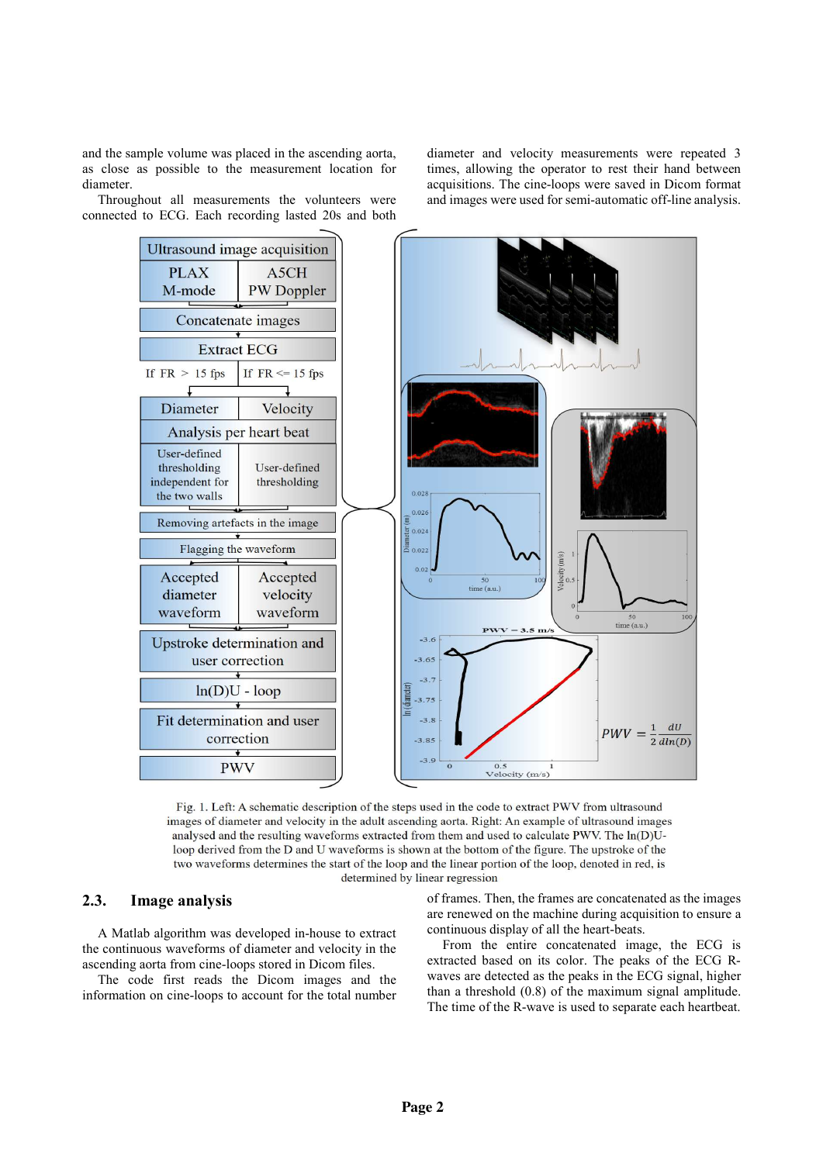and the sample volume was placed in the ascending aorta, as close as possible to the measurement location for diameter.

Throughout all measurements the volunteers were connected to ECG. Each recording lasted 20s and both

diameter and velocity measurements were repeated 3 times, allowing the operator to rest their hand between acquisitions. The cine-loops were saved in Dicom format and images were used for semi-automatic off-line analysis.



Fig. 1. Left: A schematic description of the steps used in the code to extract PWV from ultrasound images of diameter and velocity in the adult ascending aorta. Right: An example of ultrasound images analysed and the resulting waveforms extracted from them and used to calculate PWV. The ln(D)Uloop derived from the D and U waveforms is shown at the bottom of the figure. The upstroke of the two waveforms determines the start of the loop and the linear portion of the loop, denoted in red, is determined by linear regression

# 2.3. Image analysis

A Matlab algorithm was developed in-house to extract the continuous waveforms of diameter and velocity in the ascending aorta from cine-loops stored in Dicom files.

The code first reads the Dicom images and the information on cine-loops to account for the total number

of frames. Then, the frames are concatenated as the images are renewed on the machine during acquisition to ensure a continuous display of all the heart-beats.

From the entire concatenated image, the ECG is extracted based on its color. The peaks of the ECG Rwaves are detected as the peaks in the ECG signal, higher than a threshold (0.8) of the maximum signal amplitude. The time of the R-wave is used to separate each heartbeat.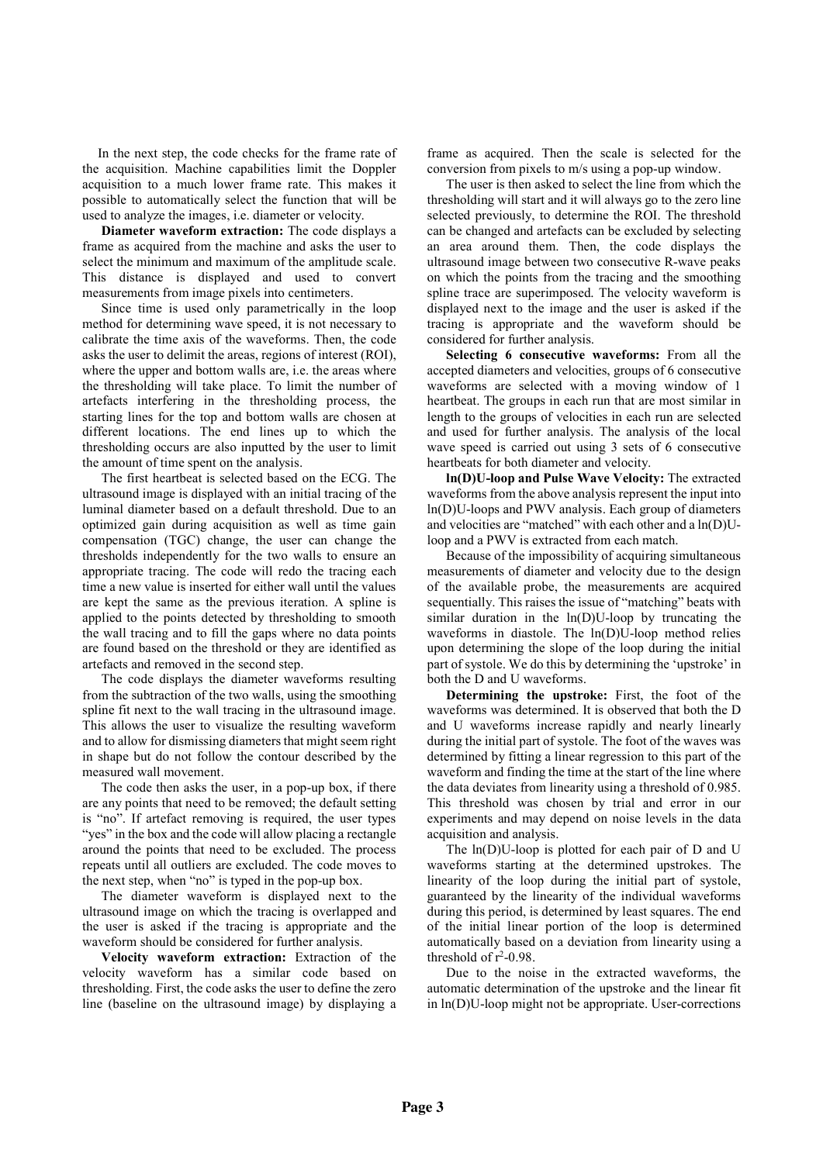In the next step, the code checks for the frame rate of the acquisition. Machine capabilities limit the Doppler acquisition to a much lower frame rate. This makes it possible to automatically select the function that will be used to analyze the images, i.e. diameter or velocity.

Diameter waveform extraction: The code displays a frame as acquired from the machine and asks the user to select the minimum and maximum of the amplitude scale. This distance is displayed and used to convert measurements from image pixels into centimeters.

Since time is used only parametrically in the loop method for determining wave speed, it is not necessary to calibrate the time axis of the waveforms. Then, the code asks the user to delimit the areas, regions of interest (ROI), where the upper and bottom walls are, i.e. the areas where the thresholding will take place. To limit the number of artefacts interfering in the thresholding process, the starting lines for the top and bottom walls are chosen at different locations. The end lines up to which the thresholding occurs are also inputted by the user to limit the amount of time spent on the analysis.

The first heartbeat is selected based on the ECG. The ultrasound image is displayed with an initial tracing of the luminal diameter based on a default threshold. Due to an optimized gain during acquisition as well as time gain compensation (TGC) change, the user can change the thresholds independently for the two walls to ensure an appropriate tracing. The code will redo the tracing each time a new value is inserted for either wall until the values are kept the same as the previous iteration. A spline is applied to the points detected by thresholding to smooth the wall tracing and to fill the gaps where no data points are found based on the threshold or they are identified as artefacts and removed in the second step.

The code displays the diameter waveforms resulting from the subtraction of the two walls, using the smoothing spline fit next to the wall tracing in the ultrasound image. This allows the user to visualize the resulting waveform and to allow for dismissing diameters that might seem right in shape but do not follow the contour described by the measured wall movement.

The code then asks the user, in a pop-up box, if there are any points that need to be removed; the default setting is "no". If artefact removing is required, the user types "yes" in the box and the code will allow placing a rectangle around the points that need to be excluded. The process repeats until all outliers are excluded. The code moves to the next step, when "no" is typed in the pop-up box.

The diameter waveform is displayed next to the ultrasound image on which the tracing is overlapped and the user is asked if the tracing is appropriate and the waveform should be considered for further analysis.

Velocity waveform extraction: Extraction of the velocity waveform has a similar code based on thresholding. First, the code asks the user to define the zero line (baseline on the ultrasound image) by displaying a

frame as acquired. Then the scale is selected for the conversion from pixels to m/s using a pop-up window.

The user is then asked to select the line from which the thresholding will start and it will always go to the zero line selected previously, to determine the ROI. The threshold can be changed and artefacts can be excluded by selecting an area around them. Then, the code displays the ultrasound image between two consecutive R-wave peaks on which the points from the tracing and the smoothing spline trace are superimposed. The velocity waveform is displayed next to the image and the user is asked if the tracing is appropriate and the waveform should be considered for further analysis.

Selecting 6 consecutive waveforms: From all the accepted diameters and velocities, groups of 6 consecutive waveforms are selected with a moving window of 1 heartbeat. The groups in each run that are most similar in length to the groups of velocities in each run are selected and used for further analysis. The analysis of the local wave speed is carried out using 3 sets of 6 consecutive heartbeats for both diameter and velocity.

ln(D)U-loop and Pulse Wave Velocity: The extracted waveforms from the above analysis represent the input into ln(D)U-loops and PWV analysis. Each group of diameters and velocities are "matched" with each other and a ln(D)Uloop and a PWV is extracted from each match.

Because of the impossibility of acquiring simultaneous measurements of diameter and velocity due to the design of the available probe, the measurements are acquired sequentially. This raises the issue of "matching" beats with similar duration in the ln(D)U-loop by truncating the waveforms in diastole. The ln(D)U-loop method relies upon determining the slope of the loop during the initial part of systole. We do this by determining the 'upstroke' in both the D and U waveforms.

Determining the upstroke: First, the foot of the waveforms was determined. It is observed that both the D and U waveforms increase rapidly and nearly linearly during the initial part of systole. The foot of the waves was determined by fitting a linear regression to this part of the waveform and finding the time at the start of the line where the data deviates from linearity using a threshold of 0.985. This threshold was chosen by trial and error in our experiments and may depend on noise levels in the data acquisition and analysis.

The ln(D)U-loop is plotted for each pair of D and U waveforms starting at the determined upstrokes. The linearity of the loop during the initial part of systole, guaranteed by the linearity of the individual waveforms during this period, is determined by least squares. The end of the initial linear portion of the loop is determined automatically based on a deviation from linearity using a threshold of  $r^2$ -0.98.

Due to the noise in the extracted waveforms, the automatic determination of the upstroke and the linear fit in ln(D)U-loop might not be appropriate. User-corrections